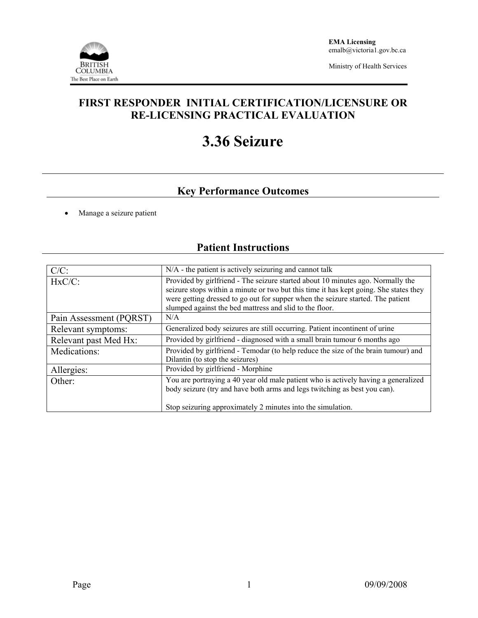

Ministry of Health Services

## **FIRST RESPONDER INITIAL CERTIFICATION/LICENSURE OR RE-LICENSING PRACTICAL EVALUATION**

# **3.36 Seizure**

# **Key Performance Outcomes**

• Manage a seizure patient

## **Patient Instructions**

| $C/C$ :                 | N/A - the patient is actively seizuring and cannot talk                                                                                                                                                                                                                                                                |  |  |  |
|-------------------------|------------------------------------------------------------------------------------------------------------------------------------------------------------------------------------------------------------------------------------------------------------------------------------------------------------------------|--|--|--|
| $HxC/C$ :               | Provided by girlfriend - The seizure started about 10 minutes ago. Normally the<br>seizure stops within a minute or two but this time it has kept going. She states they<br>were getting dressed to go out for supper when the seizure started. The patient<br>slumped against the bed mattress and slid to the floor. |  |  |  |
| Pain Assessment (PQRST) | N/A                                                                                                                                                                                                                                                                                                                    |  |  |  |
| Relevant symptoms:      | Generalized body seizures are still occurring. Patient incontinent of urine                                                                                                                                                                                                                                            |  |  |  |
| Relevant past Med Hx:   | Provided by girlfriend - diagnosed with a small brain tumour 6 months ago                                                                                                                                                                                                                                              |  |  |  |
| Medications:            | Provided by girlfriend - Temodar (to help reduce the size of the brain tumour) and<br>Dilantin (to stop the seizures)                                                                                                                                                                                                  |  |  |  |
| Allergies:              | Provided by girlfriend - Morphine                                                                                                                                                                                                                                                                                      |  |  |  |
| Other:                  | You are portraying a 40 year old male patient who is actively having a generalized<br>body seizure (try and have both arms and legs twitching as best you can).                                                                                                                                                        |  |  |  |
|                         | Stop seizuring approximately 2 minutes into the simulation.                                                                                                                                                                                                                                                            |  |  |  |